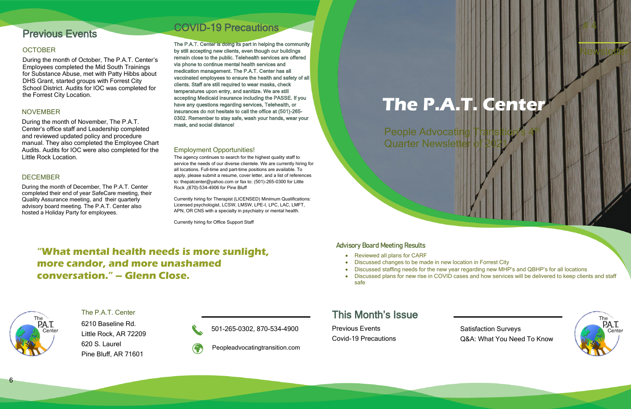6

Satisfaction Surveys Q&A: What You Need To Know



# This Month's Issue

Previous Events Covid-19 Precautions

Peopleadvocatingtransition.com



501-265-0302, 870-534-4900

The P.A.T. Center 6210 Baseline Rd. Little Rock, AR 72209 620 S. Laurel Pine Bluff, AR 71601

**Advisory Board Meeting Results**

 Newsletter  $\frac{H}{4}$   $A$ People Advocating th **Quarter Newsletter The P.A.T. Center**

- Reviewed all plans for CARF
- Discussed changes to be made in new location in Forrest City
- 
- safe

• Discussed staffing needs for the new year regarding new MHP's and QBHP's for all locations • Discussed plans for new rise in COVID cases and how services will be delivered to keep clients and staff

## **"What mental health needs is more sunlight, more candor, and more unashamed conversation." – Glenn Close.**

#### Employment Opportunities!

The agency continues to search for the highest quality staff to service the needs of our diverse clientele. We are currently hiring for all locations. Full-time and part-time positions are available. To apply, please submit a resume, cover letter, and a list of references to: thepatcenter@yahoo.com or fax to: (501)-265-0300 for Little Rock ,(870)-534-4906 for Pine Bluff

Currently hiring for Therapist (LICENSED) Minimum Qualifications: Licensed psychologist, LCSW, LMSW, LPE-I, LPC, LAC, LMFT, APN, OR CNS with a specialty in psychiatry or mental health.

Currently hiring for Office Support Staff

# COVID-19 Precautions

The P.A.T. Center is doing its part in helping the community by still accepting new clients, even though our buildings remain close to the public. Telehealth services are offered via phone to continue mental health services and medication management. The P.A.T. Center has all vaccinated employees to ensure the health and safety of all clients. Staff are still required to wear masks, check temperatures upon entry, and sanitize. We are still accepting Medicaid insurance including the PASSE. If you have any questions regarding services, Telehealth, or insurances do not hesitate to call the office at (501)-265- 0302. Remember to stay safe, wash your hands, wear your mask, and social distance!

#### DECEMBER

During the month of December, The P.A.T. Center completed their end of year SafeCare meeting, their Quality Assurance meeting, and their quarterly advisory board meeting. The P.A.T. Center also hosted a Holiday Party for employees.

#### NOVEMBER

During the month of November, The P.A.T. Center's office staff and Leadership completed and reviewed updated policy and procedure manual. They also completed the Employee Chart Audits. Audits for IOC were also completed for the Little Rock Location.

# Previous Events

#### **OCTOBER**

During the month of October, The P.A.T. Center's Employees completed the Mid South Trainings for Substance Abuse, met with Patty Hibbs about DHS Grant, started groups with Forrest City School District. Audits for IOC was completed for the Forrest City Location.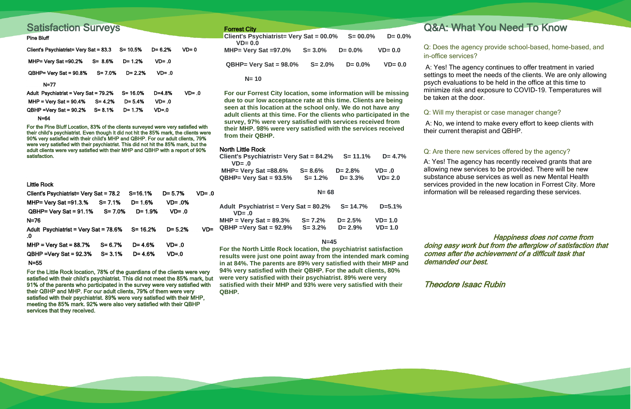#### North Little Rock

| Client's Psychiatrist= Very Sat = $84.2\%$ S= 11.1%<br>$VD = .0$ |             |             | $D = 4.7\%$ |
|------------------------------------------------------------------|-------------|-------------|-------------|
| MHP= Very Sat $=88.6\%$                                          | $S = 8.6\%$ | $D = 2.8\%$ | $VD = .0$   |
| $QBHP = Very Sat = 93.5%$                                        | $S = 1.2%$  | $D = 3.3\%$ | $VD = 2.0$  |
| $N = 68$                                                         |             |             |             |

| Adult Psychiatrist = Very Sat = 80.2%<br>$VD = .0$ |            | $S = 14.7%$ | $D=5.1%$   |
|----------------------------------------------------|------------|-------------|------------|
| $MHP = Very Sat = 89.3%$                           | $S = 7.2%$ | $D = 2.5\%$ | $VD = 1.0$ |
| $QBHP = Very Sat = 92.9%$                          | $S = 3.2%$ | $D = 2.9%$  | $VD = 1.0$ |

#### **N=45**

**For the North Little Rock location, the psychiatrist satisfaction results were just one point away from the intended mark coming in at 84%. The parents are 89% very satisfied with their MHP and 94% very satisfied with their QBHP. For the adult clients, 80% were very satisfied with their psychiatrist. 89% were very satisfied with their MHP and 93% were very satisfied with their QBHP.**

# Forrest City **Contract City** Contract City **Q&A: What You Need To Know**

 Happiness does not come from doing easy work but from the afterglow of satisfaction that comes after the achievement of a difficult task that demanded our best.

Theodore Isaac Rubin

### Q: Will my therapist or case manager change?

A: No, we intend to make every effort to keep clients with their current therapist and QBHP.

### Q: Are there new services offered by the agency?

A: Yes! The agency has recently received grants that are allowing new services to be provided. There will be new substance abuse services as well as new Mental Health services provided in the new location in Forrest City. More information will be released regarding these services.

### Q: Does the agency provide school-based, home-based, and in-office services?

A: Yes! The agency continues to offer treatment in varied settings to meet the needs of the clients. We are only allowing psych evaluations to be held in the office at this time to minimize risk and exposure to COVID-19. Temperatures will be taken at the door.

| <b>Client's Psychiatrist= Very Sat = 00.0%</b><br>$VD = 0.0$ |             | $S = 00.0\%$ | $D = 0.0\%$ |
|--------------------------------------------------------------|-------------|--------------|-------------|
| MHP= Very Sat =97.0%                                         | $S = 3.0\%$ | $D = 0.0\%$  | $VD = 0.0$  |
| $QBHP = Very Sat = 98.0\%$                                   | $S = 2.0\%$ | $D = 0.0\%$  | $VD = 0.0$  |
| $N = 10$                                                     |             |              |             |

**For our Forrest City location, some information will be missing due to our low acceptance rate at this time. Clients are being seen at this location at the school only. We do not have any adult clients at this time. For the clients who participated in the survey, 97% were very satisfied with services received from their MHP. 98% were very satisfied with the services received from their QBHP.** 

Little Rock

| Client's Psychiatrist= Very Sat = 78.2      |            | $S = 16.1%$ | $D = 5.7%$ | $VD = .0$ |
|---------------------------------------------|------------|-------------|------------|-----------|
| MHP= Very Sat $=91.3$ %                     | $S = 7.1%$ | $D = 1.6%$  | $VD = .0%$ |           |
| $QBHP = Very Sat = 91.1%$                   | $S = 7.0%$ | $D = 1.9%$  | $VD = .0$  |           |
| $N=76$                                      |            |             |            |           |
| Adult Psychiatrist = Very Sat = 78.6%<br>.0 |            | $S = 16.2%$ | $D = 5.2%$ | VD=       |
| $MHP = Very Sat = 88.7%$                    | $S = 6.7%$ | $D = 4.6%$  | $VD = 0$   |           |
| $QBHP = Very$ Sat = 92.3%                   | $S = 3.1%$ | $D = 4.6%$  | $VD = .0$  |           |
| $N = 55$                                    |            |             |            |           |

For the Little Rock location, 78% of the guardians of the clients were very satisfied with their child's psychiatrist. This did not meet the 85% mark, but 91% of the parents who participated in the survey were very satisfied with their QBHP and MHP. For our adult clients, 79% of them were very satisfied with their psychiatrist. 89% were very satisfied with their MHP, meeting the 85% mark. 92% were also very satisfied with their QBHP services that they received.

# Satisfaction Surveys

#### Pine Bluff

| Client's Psychiatrist= Very Sat = 83.3 |            | $S = 10.5%$ | $D = 6.2%$ | $VD = 0$  |
|----------------------------------------|------------|-------------|------------|-----------|
| MHP= Very Sat $=90.2\%$                | $S = 8.6%$ | $D = 1.2%$  | $VD = .0$  |           |
| $QBHP = Very Sat = 90.8%$              | $S = 7.0%$ | $D = 2.2%$  | $VD = .0$  |           |
| $N=77$                                 |            |             |            |           |
| Adult Psychiatrist = Very Sat = 79.2%  |            | S= 16.0%    | $D = 4.8%$ | $VD = .0$ |
| $MHP = Very$ Sat = 90.4%               | $S = 4.2%$ | $D = 5.4%$  | $VD = .0$  |           |
| $QBHP = Very$ Sat = 90.2%              | $S = 8.1%$ | $D = 1.7%$  | $VD = .0$  |           |

N=64

For the Pine Bluff Location, 83% of the clients surveyed were very satisfied with their child's psychiatrist. Even though it did not hit the 85% mark, the clients were 90% very satisfied with their child's MHP and QBHP. For our adult clients, 79% were very satisfied with their psychiatrist. This did not hit the 85% mark, but the adult clients were very satisfied with their MHP and QBHP with a report of 90% satisfaction.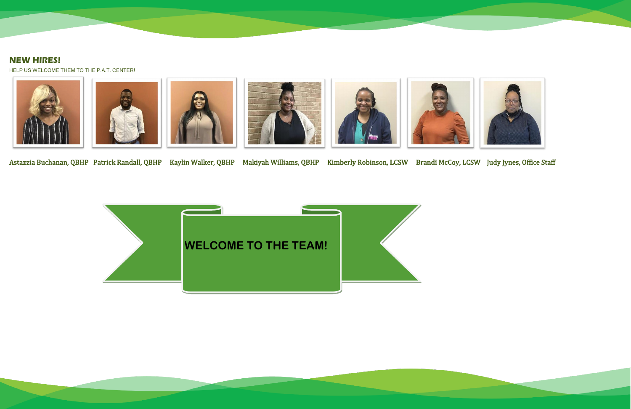## **NEW HIRES!**

HELP US WELCOME THEM TO THE P.A.T. CENTER!













Astazzia Buchanan, QBHP Patrick Randall, QBHP Kaylin Walker, QBHP Makiyah Williams, QBHP Kimberly Robinson, LCSW Brandi McCoy, LCSW Judy Jynes, Office Staff

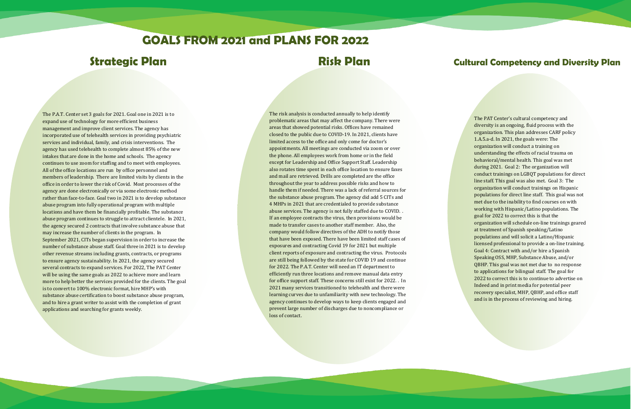# **GOALS FROM 2021 and PLANS FOR 2022**

## **Strategic Plan Risk Plan Cultural Competency and Diversity Plan**

The P.A.T. Center set 3 goals for 2021. Goal one in 2021 is to expand use of technology for more efficient business management and improve client services. The agency has incorporated use of telehealth services in providing psychiatric services and individual, family, and crisis interventions. The agency has used telehealth to complete almost 85% of the new intakes that are done in the home and schools. The agency continues to use zoom for staffing and to meet with employees. All of the office locations are run by office personnel and members of leadership. There are limited visits by clients in the office in order to lower the risk of Covid. Most processes of the agency are done electronically or via some electronic method rather than face-to-face. Goal two in 2021 is to develop substance abuse program into fully operational program with multiple locations and have them be financially profitable. The substance abuse program continues to struggle to attract clientele. In 2021, the agency secured 2 contracts that involve substance abuse that may increase the number of clients in the program. In September 2021, CITs began supervision in order to increase the number of substance abuse staff. Goal three in 2021 is to develop other revenue streams including grants, contracts, or programs to ensure agency sustainability. In 2021, the agency secured several contracts to expand services. For 2022, The PAT Center will be using the same goals as 2022 to achieve more and learn more to help better the services provided for the clients. The goal is to convert to 100% electronic format, hire MHP's with substance abuse certification to boost substance abuse program, and to hire a grant writer to assist with the completion of grant applications and searching for grants weekly.

The risk analysis is conducted annually to help identify problematic areas that may affect the company. There were areas that showed potential risks. Offices have remained closed to the public due to COVID-19. In 2021, clients have limited access to the office and only come for doctor's appointments. All meetings are conducted via zoom or over the phone. All employees work from home or in the field except for Leadership and Office Support Staff. Leadership also rotates time spent in each office location to ensure faxes and mail are retrieved. Drills are completed are the office throughout the year to address possible risks and how to handle them if needed. There was a lack of referral sources for the substance abuse program. The agency did add 5 CITs and 4 MHPs in 2021 that are credentialed to provide substance abuse services. The agency is not fully staffed due to COVID. . If an employee contracts the virus, then provisions would be made to transfer cases to another staff member. Also, the company would follow directives of the ADH to notify those that have been exposed. There have been limited staff cases of exposures and contracting Covid 19 for 2021 but multiple client reports of exposure and contracting the virus. Protocols are still being followed by the state for COVID 19 and continue for 2022. The P.A.T. Center will need an IT department to efficiently run three locations and remove manual data entry for office support staff. These concerns still exist for 2022. . In 2021 many services transitioned to telehealth and there were learning curves due to unfamiliarity with new technology. The agency continues to develop ways to keep clients engaged and prevent large number of discharges due to noncompliance or loss of contact.

The PAT Center's cultural competency and diversity is an ongoing, fluid process with the organization. This plan addresses CARF policy 1.A.5.a-d. In 2021, the goals were: The organization will conduct a training on understanding the effects of racial trauma on behavioral/mental health. This goal was met during 2021. Goal 2: The organization will conduct trainings on LGBQT populations for direct line staff. This goal was also met. Goal 3: The organization will conduct trainings on Hispanic populations for direct line staff. This goal was not met due to the inability to find courses on with working with Hispanic/Latino populations. The goal for 2022 to correct this is that the organization will schedule on-line trainings geared at treatment of Spanish speaking/Latino populations and will solicit a Latino/Hispanic licensed professional to provide a on-line training. Goal 4: Contract with and/or hire a Spanish Speaking OSS, MHP, Substance Abuse, and/or QBHP. This goal was not met due to no response to applications for bilingual staff. The goal for 2022 to correct this is to continue to advertise on Indeed and in print media for potential peer recovery specialist, MHP, QBHP, and office staff and is in the process of reviewing and hiring.